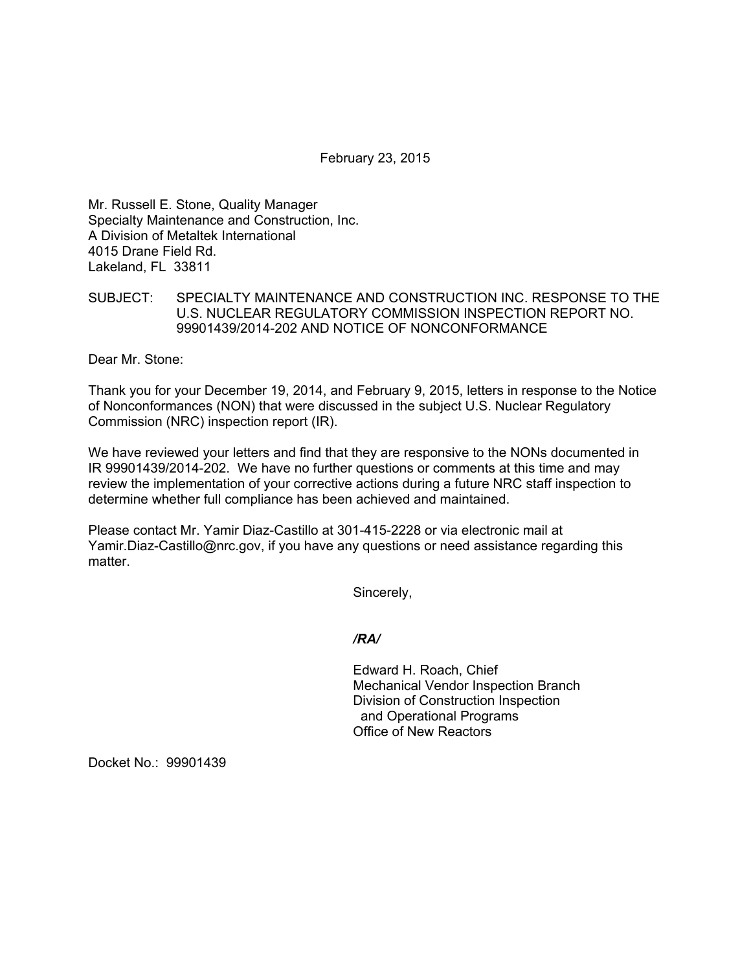February 23, 2015

Mr. Russell E. Stone, Quality Manager Specialty Maintenance and Construction, Inc. A Division of Metaltek International 4015 Drane Field Rd. Lakeland, FL 33811

## SUBJECT: SPECIALTY MAINTENANCE AND CONSTRUCTION INC. RESPONSE TO THE U.S. NUCLEAR REGULATORY COMMISSION INSPECTION REPORT NO. 99901439/2014-202 AND NOTICE OF NONCONFORMANCE

Dear Mr. Stone:

Thank you for your December 19, 2014, and February 9, 2015, letters in response to the Notice of Nonconformances (NON) that were discussed in the subject U.S. Nuclear Regulatory Commission (NRC) inspection report (IR).

We have reviewed your letters and find that they are responsive to the NONs documented in IR 99901439/2014-202. We have no further questions or comments at this time and may review the implementation of your corrective actions during a future NRC staff inspection to determine whether full compliance has been achieved and maintained.

Please contact Mr. Yamir Diaz-Castillo at 301-415-2228 or via electronic mail at Yamir.Diaz-Castillo@nrc.gov, if you have any questions or need assistance regarding this matter.

Sincerely,

## */RA/*

Edward H. Roach, Chief Mechanical Vendor Inspection Branch Division of Construction Inspection and Operational Programs Office of New Reactors

Docket No.: 99901439